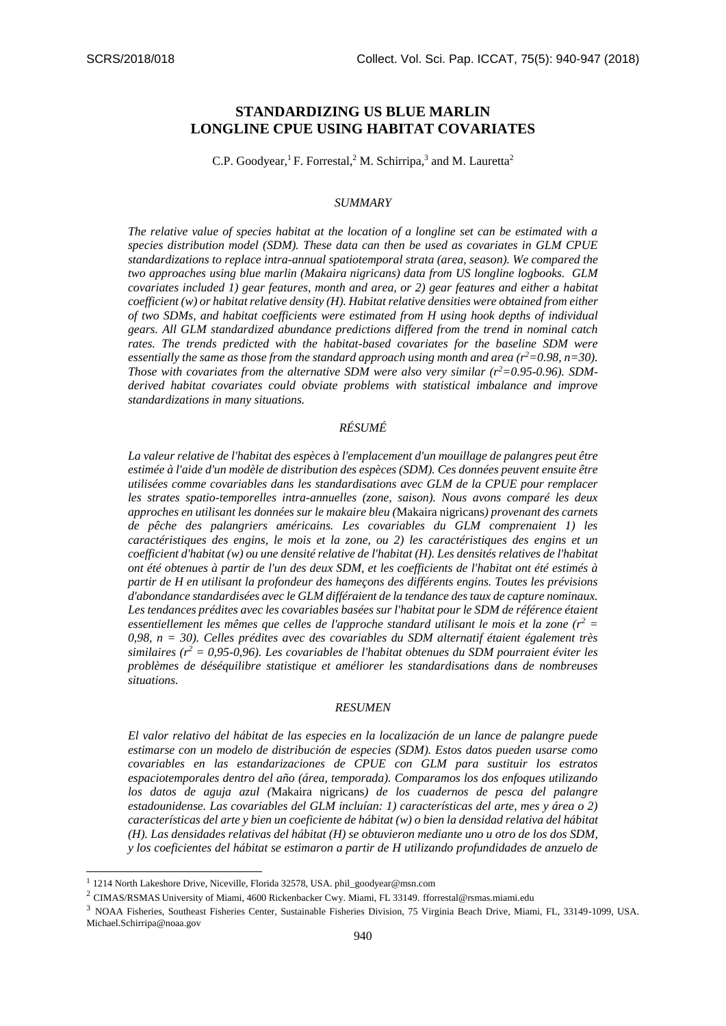# **STANDARDIZING US BLUE MARLIN LONGLINE CPUE USING HABITAT COVARIATES**

C.P. Goodyear,<sup>1</sup> F. Forrestal,<sup>2</sup> M. Schirripa,<sup>3</sup> and M. Lauretta<sup>2</sup>

#### *SUMMARY*

*The relative value of species habitat at the location of a longline set can be estimated with a species distribution model (SDM). These data can then be used as covariates in GLM CPUE standardizations to replace intra-annual spatiotemporal strata (area, season). We compared the two approaches using blue marlin (Makaira nigricans) data from US longline logbooks. GLM covariates included 1) gear features, month and area, or 2) gear features and either a habitat coefficient (w) or habitatrelative density (H). Habitat relative densities were obtained from either of two SDMs, and habitat coefficients were estimated from H using hook depths of individual gears. All GLM standardized abundance predictions differed from the trend in nominal catch rates. The trends predicted with the habitat-based covariates for the baseline SDM were essentially the same as those from the standard approach using month and area (* $r^2$ *=0.98, n=30). Those with covariates from the alternative SDM were also very similar (r2=0.95-0.96). SDMderived habitat covariates could obviate problems with statistical imbalance and improve standardizations in many situations.*

## *RÉSUMÉ*

*La valeur relative de l'habitat des espèces à l'emplacement d'un mouillage de palangres peut être estimée à l'aide d'un modèle de distribution des espèces (SDM). Ces données peuvent ensuite être utilisées comme covariables dans les standardisations avec GLM de la CPUE pour remplacer les strates spatio-temporelles intra-annuelles (zone, saison). Nous avons comparé les deux approches en utilisant les données sur le makaire bleu (*Makaira nigricans*) provenant des carnets de pêche des palangriers américains. Les covariables du GLM comprenaient 1) les caractéristiques des engins, le mois et la zone, ou 2) les caractéristiques des engins et un coefficient d'habitat (w) ou une densité relative de l'habitat (H). Les densités relatives de l'habitat ont été obtenues à partir de l'un des deux SDM, et les coefficients de l'habitat ont été estimés à partir de H en utilisant la profondeur des hameçons des différents engins. Toutes les prévisions d'abondance standardisées avec le GLM différaient de la tendance des taux de capture nominaux.*  Les tendances prédites avec les covariables basées sur l'habitat pour le SDM de référence étaient *essentiellement les mêmes que celles de l'approche standard utilisant le mois et la zone (r<sup>2</sup> = 0,98, n = 30). Celles prédites avec des covariables du SDM alternatif étaient également très similaires (r<sup>2</sup> = 0,95-0,96). Les covariables de l'habitat obtenues du SDM pourraient éviter les problèmes de déséquilibre statistique et améliorer les standardisations dans de nombreuses situations.*

#### *RESUMEN*

*El valor relativo del hábitat de las especies en la localización de un lance de palangre puede estimarse con un modelo de distribución de especies (SDM). Estos datos pueden usarse como covariables en las estandarizaciones de CPUE con GLM para sustituir los estratos espaciotemporales dentro del año (área, temporada). Comparamos los dos enfoques utilizando los datos de aguja azul (*Makaira nigricans*) de los cuadernos de pesca del palangre estadounidense. Las covariables del GLM incluían: 1) características del arte, mes y área o 2) características del arte y bien un coeficiente de hábitat (w) o bien la densidad relativa del hábitat (H). Las densidades relativas del hábitat (H) se obtuvieron mediante uno u otro de los dos SDM, y los coeficientes del hábitat se estimaron a partir de H utilizando profundidades de anzuelo de* 

-

<sup>&</sup>lt;sup>1</sup> 1214 North Lakeshore Drive, Niceville, Florida 32578, USA. phil\_goodyear@msn.com

 $^2$  CIMAS/RSMAS University of Miami, 4600 Rickenbacker Cwy. Miami, FL 33149. fforrestal@rsmas.miami.edu

<sup>3</sup> NOAA Fisheries, Southeast Fisheries Center, Sustainable Fisheries Division, 75 Virginia Beach Drive, Miami, FL, 33149-1099, USA. Michael.Schirripa@noaa.gov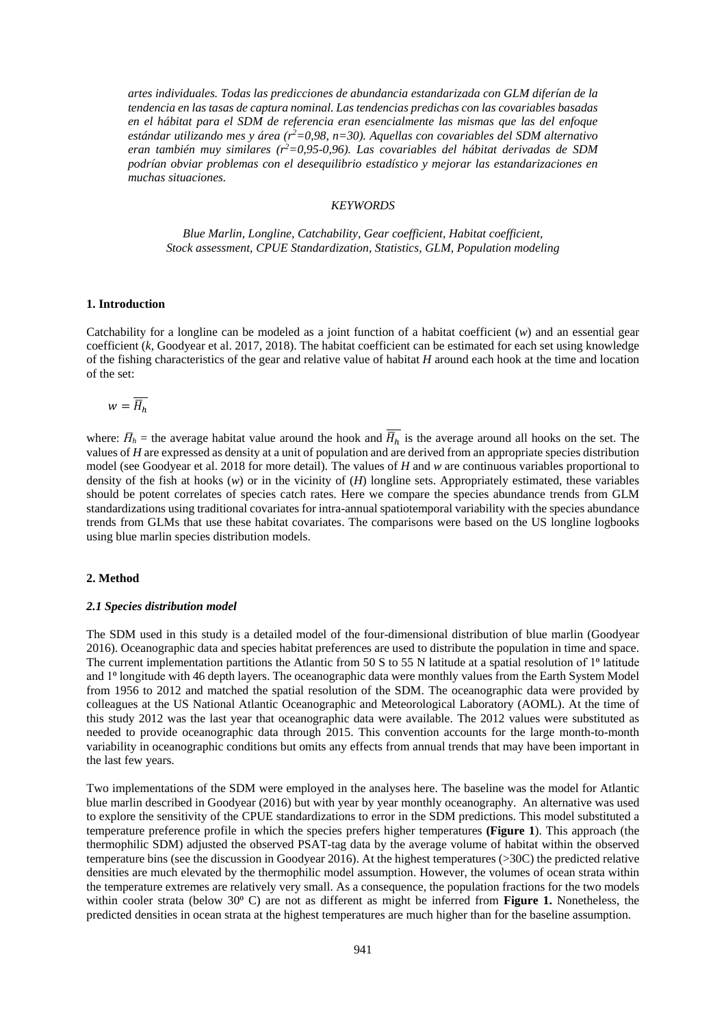*artes individuales. Todas las predicciones de abundancia estandarizada con GLM diferían de la tendencia en las tasas de captura nominal. Las tendencias predichas con las covariables basadas en el hábitat para el SDM de referencia eran esencialmente las mismas que las del enfoque estándar utilizando mes y área (r<sup>2</sup>=0,98, n=30). Aquellas con covariables del SDM alternativo eran también muy similares (r<sup>2</sup>=0,95-0,96). Las covariables del hábitat derivadas de SDM podrían obviar problemas con el desequilibrio estadístico y mejorar las estandarizaciones en muchas situaciones.*

### *KEYWORDS*

*Blue Marlin, Longline, Catchability, Gear coefficient, Habitat coefficient, Stock assessment, CPUE Standardization, Statistics, GLM, Population modeling*

#### **1. Introduction**

Catchability for a longline can be modeled as a joint function of a habitat coefficient (*w*) and an essential gear coefficient (*k,* Goodyear et al. 2017, 2018). The habitat coefficient can be estimated for each set using knowledge of the fishing characteristics of the gear and relative value of habitat *H* around each hook at the time and location of the set:

$$
w=\overline{H}_h
$$

where:  $\bar{H}_h$  = the average habitat value around the hook and  $\bar{H}_h$  is the average around all hooks on the set. The values of *H* are expressed as density at a unit of population and are derived from an appropriate species distribution model (see Goodyear et al. 2018 for more detail). The values of *H* and *w* are continuous variables proportional to density of the fish at hooks (*w*) or in the vicinity of (*H*) longline sets. Appropriately estimated, these variables should be potent correlates of species catch rates. Here we compare the species abundance trends from GLM standardizations using traditional covariates for intra-annual spatiotemporal variability with the species abundance trends from GLMs that use these habitat covariates. The comparisons were based on the US longline logbooks using blue marlin species distribution models.

### **2. Method**

#### *2.1 Species distribution model*

The SDM used in this study is a detailed model of the four-dimensional distribution of blue marlin (Goodyear 2016). Oceanographic data and species habitat preferences are used to distribute the population in time and space. The current implementation partitions the Atlantic from 50 S to 55 N latitude at a spatial resolution of  $1^{\circ}$  latitude and 1<sup>o</sup> longitude with 46 depth layers. The oceanographic data were monthly values from the Earth System Model from 1956 to 2012 and matched the spatial resolution of the SDM. The oceanographic data were provided by colleagues at the US National Atlantic Oceanographic and Meteorological Laboratory (AOML). At the time of this study 2012 was the last year that oceanographic data were available. The 2012 values were substituted as needed to provide oceanographic data through 2015. This convention accounts for the large month-to-month variability in oceanographic conditions but omits any effects from annual trends that may have been important in the last few years.

Two implementations of the SDM were employed in the analyses here. The baseline was the model for Atlantic blue marlin described in Goodyear (2016) but with year by year monthly oceanography. An alternative was used to explore the sensitivity of the CPUE standardizations to error in the SDM predictions. This model substituted a temperature preference profile in which the species prefers higher temperatures **(Figure 1**). This approach (the thermophilic SDM) adjusted the observed PSAT-tag data by the average volume of habitat within the observed temperature bins (see the discussion in Goodyear 2016). At the highest temperatures (>30C) the predicted relative densities are much elevated by the thermophilic model assumption. However, the volumes of ocean strata within the temperature extremes are relatively very small. As a consequence, the population fractions for the two models within cooler strata (below 30<sup>o</sup> C) are not as different as might be inferred from **Figure 1.** Nonetheless, the predicted densities in ocean strata at the highest temperatures are much higher than for the baseline assumption.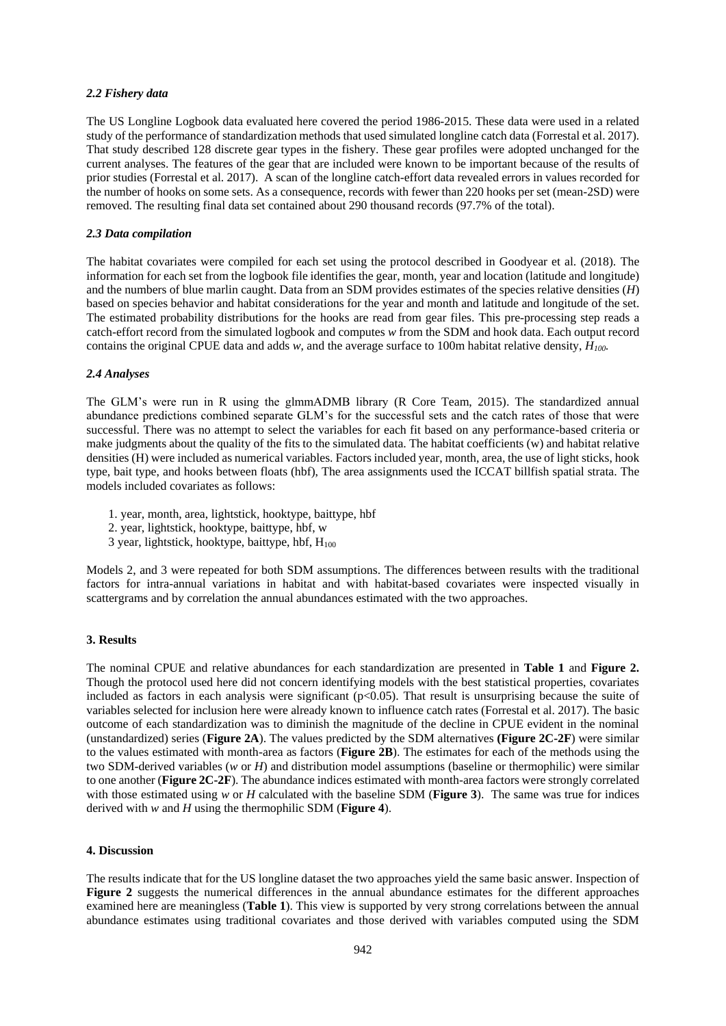### *2.2 Fishery data*

The US Longline Logbook data evaluated here covered the period 1986-2015. These data were used in a related study of the performance of standardization methods that used simulated longline catch data (Forrestal et al. 2017). That study described 128 discrete gear types in the fishery. These gear profiles were adopted unchanged for the current analyses. The features of the gear that are included were known to be important because of the results of prior studies (Forrestal et al. 2017). A scan of the longline catch-effort data revealed errors in values recorded for the number of hooks on some sets. As a consequence, records with fewer than 220 hooks per set (mean-2SD) were removed. The resulting final data set contained about 290 thousand records (97.7% of the total).

## *2.3 Data compilation*

The habitat covariates were compiled for each set using the protocol described in Goodyear et al. (2018). The information for each set from the logbook file identifies the gear, month, year and location (latitude and longitude) and the numbers of blue marlin caught. Data from an SDM provides estimates of the species relative densities (*H*) based on species behavior and habitat considerations for the year and month and latitude and longitude of the set. The estimated probability distributions for the hooks are read from gear files. This pre-processing step reads a catch-effort record from the simulated logbook and computes *w* from the SDM and hook data. Each output record contains the original CPUE data and adds *w*, and the average surface to 100m habitat relative density, *H100.*

## *2.4 Analyses*

The GLM's were run in R using the glmmADMB library (R Core Team, 2015). The standardized annual abundance predictions combined separate GLM's for the successful sets and the catch rates of those that were successful. There was no attempt to select the variables for each fit based on any performance-based criteria or make judgments about the quality of the fits to the simulated data. The habitat coefficients (w) and habitat relative densities (H) were included as numerical variables. Factors included year, month, area, the use of light sticks, hook type, bait type, and hooks between floats (hbf), The area assignments used the ICCAT billfish spatial strata. The models included covariates as follows:

- 1. year, month, area, lightstick, hooktype, baittype, hbf
- 2. year, lightstick, hooktype, baittype, hbf, w
- 3 year, lightstick, hooktype, baittype, hbf,  $H_{100}$

Models 2, and 3 were repeated for both SDM assumptions. The differences between results with the traditional factors for intra-annual variations in habitat and with habitat-based covariates were inspected visually in scattergrams and by correlation the annual abundances estimated with the two approaches.

## **3. Results**

The nominal CPUE and relative abundances for each standardization are presented in **Table 1** and **Figure 2.** Though the protocol used here did not concern identifying models with the best statistical properties, covariates included as factors in each analysis were significant  $(p<0.05)$ . That result is unsurprising because the suite of variables selected for inclusion here were already known to influence catch rates (Forrestal et al. 2017). The basic outcome of each standardization was to diminish the magnitude of the decline in CPUE evident in the nominal (unstandardized) series (**Figure 2A**). The values predicted by the SDM alternatives **(Figure 2C-2F**) were similar to the values estimated with month-area as factors (**Figure 2B**). The estimates for each of the methods using the two SDM-derived variables (*w* or *H*) and distribution model assumptions (baseline or thermophilic) were similar to one another (**Figure 2C-2F**). The abundance indices estimated with month-area factors were strongly correlated with those estimated using *w* or *H* calculated with the baseline SDM (**Figure 3**). The same was true for indices derived with *w* and *H* using the thermophilic SDM (**Figure 4**).

## **4. Discussion**

The results indicate that for the US longline dataset the two approaches yield the same basic answer. Inspection of **Figure 2** suggests the numerical differences in the annual abundance estimates for the different approaches examined here are meaningless (**Table 1**). This view is supported by very strong correlations between the annual abundance estimates using traditional covariates and those derived with variables computed using the SDM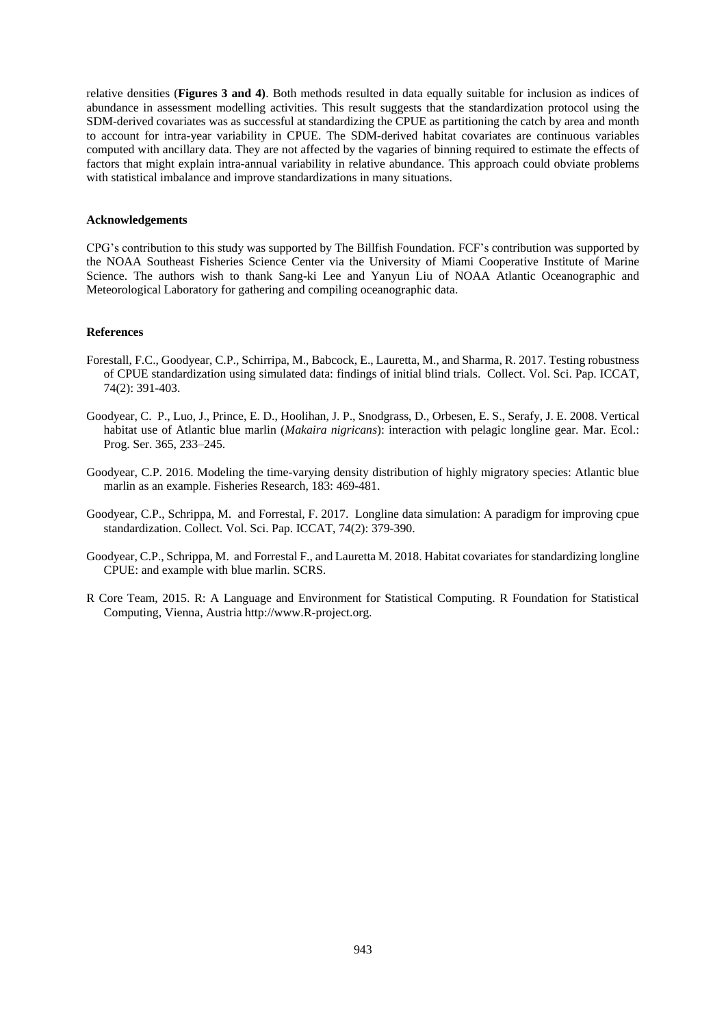relative densities (**Figures 3 and 4)**. Both methods resulted in data equally suitable for inclusion as indices of abundance in assessment modelling activities. This result suggests that the standardization protocol using the SDM-derived covariates was as successful at standardizing the CPUE as partitioning the catch by area and month to account for intra-year variability in CPUE. The SDM-derived habitat covariates are continuous variables computed with ancillary data. They are not affected by the vagaries of binning required to estimate the effects of factors that might explain intra-annual variability in relative abundance. This approach could obviate problems with statistical imbalance and improve standardizations in many situations.

#### **Acknowledgements**

CPG's contribution to this study was supported by The Billfish Foundation. FCF's contribution was supported by the NOAA Southeast Fisheries Science Center via the University of Miami Cooperative Institute of Marine Science. The authors wish to thank Sang-ki Lee and Yanyun Liu of NOAA Atlantic Oceanographic and Meteorological Laboratory for gathering and compiling oceanographic data.

#### **References**

- Forestall, F.C., Goodyear, C.P., Schirripa, M., Babcock, E., Lauretta, M., and Sharma, R. 2017. Testing robustness of CPUE standardization using simulated data: findings of initial blind trials. Collect. Vol. Sci. Pap. ICCAT, 74(2): 391-403.
- Goodyear, C. P., Luo, J., Prince, E. D., Hoolihan, J. P., Snodgrass, D., Orbesen, E. S., Serafy, J. E. 2008. Vertical habitat use of Atlantic blue marlin (*Makaira nigricans*): interaction with pelagic longline gear. Mar. Ecol.: Prog. Ser. 365, 233–245.
- Goodyear, C.P. 2016. Modeling the time-varying density distribution of highly migratory species: Atlantic blue marlin as an example. Fisheries Research, 183: 469-481.
- Goodyear, C.P., Schrippa, M. and Forrestal, F. 2017. Longline data simulation: A paradigm for improving cpue standardization. Collect. Vol. Sci. Pap. ICCAT, 74(2): 379-390.
- Goodyear, C.P., Schrippa, M. and Forrestal F., and Lauretta M. 2018. Habitat covariates for standardizing longline CPUE: and example with blue marlin. SCRS.
- R Core Team, 2015. R: A Language and Environment for Statistical Computing. R Foundation for Statistical Computing, Vienna, Austria http://www.R-project.org.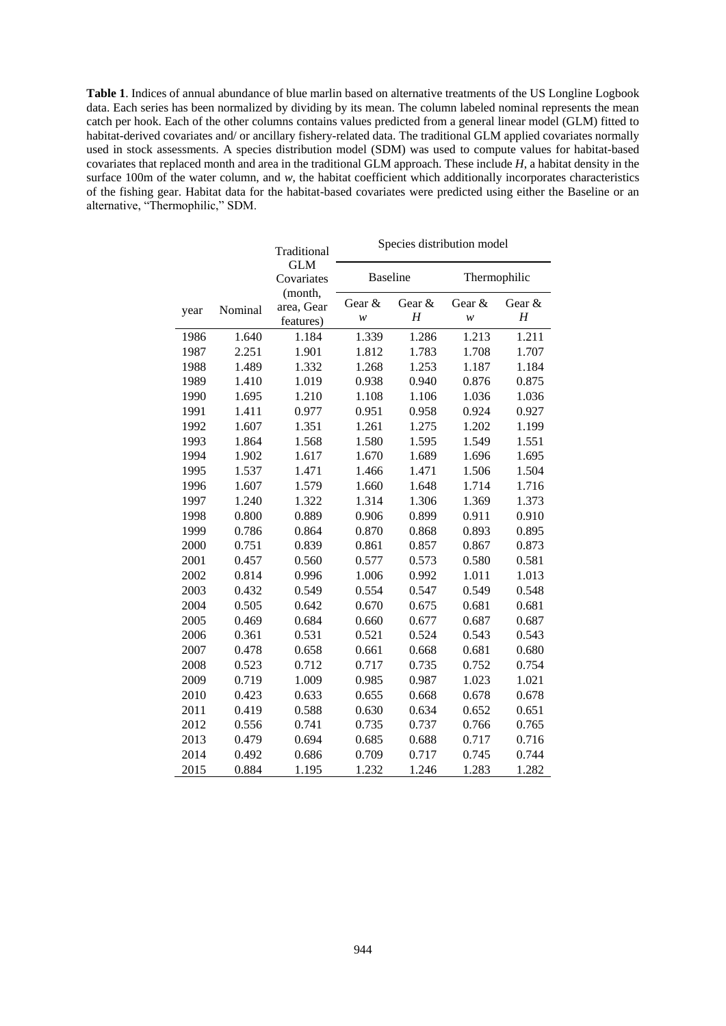**Table 1**. Indices of annual abundance of blue marlin based on alternative treatments of the US Longline Logbook data. Each series has been normalized by dividing by its mean. The column labeled nominal represents the mean catch per hook. Each of the other columns contains values predicted from a general linear model (GLM) fitted to habitat-derived covariates and/ or ancillary fishery-related data. The traditional GLM applied covariates normally used in stock assessments. A species distribution model (SDM) was used to compute values for habitat-based covariates that replaced month and area in the traditional GLM approach. These include *H*, a habitat density in the surface 100m of the water column, and *w*, the habitat coefficient which additionally incorporates characteristics of the fishing gear. Habitat data for the habitat-based covariates were predicted using either the Baseline or an alternative, "Thermophilic," SDM.

|      |         | Traditional                        | Species distribution model |             |              |             |
|------|---------|------------------------------------|----------------------------|-------------|--------------|-------------|
|      |         | <b>GLM</b><br>Covariates           | <b>Baseline</b>            |             | Thermophilic |             |
| year | Nominal | (month,<br>area, Gear<br>features) | Gear &<br>W                | Gear &<br>H | Gear &<br>W  | Gear &<br>H |
| 1986 | 1.640   | 1.184                              | 1.339                      | 1.286       | 1.213        | 1.211       |
| 1987 | 2.251   | 1.901                              | 1.812                      | 1.783       | 1.708        | 1.707       |
| 1988 | 1.489   | 1.332                              | 1.268                      | 1.253       | 1.187        | 1.184       |
| 1989 | 1.410   | 1.019                              | 0.938                      | 0.940       | 0.876        | 0.875       |
| 1990 | 1.695   | 1.210                              | 1.108                      | 1.106       | 1.036        | 1.036       |
| 1991 | 1.411   | 0.977                              | 0.951                      | 0.958       | 0.924        | 0.927       |
| 1992 | 1.607   | 1.351                              | 1.261                      | 1.275       | 1.202        | 1.199       |
| 1993 | 1.864   | 1.568                              | 1.580                      | 1.595       | 1.549        | 1.551       |
| 1994 | 1.902   | 1.617                              | 1.670                      | 1.689       | 1.696        | 1.695       |
| 1995 | 1.537   | 1.471                              | 1.466                      | 1.471       | 1.506        | 1.504       |
| 1996 | 1.607   | 1.579                              | 1.660                      | 1.648       | 1.714        | 1.716       |
| 1997 | 1.240   | 1.322                              | 1.314                      | 1.306       | 1.369        | 1.373       |
| 1998 | 0.800   | 0.889                              | 0.906                      | 0.899       | 0.911        | 0.910       |
| 1999 | 0.786   | 0.864                              | 0.870                      | 0.868       | 0.893        | 0.895       |
| 2000 | 0.751   | 0.839                              | 0.861                      | 0.857       | 0.867        | 0.873       |
| 2001 | 0.457   | 0.560                              | 0.577                      | 0.573       | 0.580        | 0.581       |
| 2002 | 0.814   | 0.996                              | 1.006                      | 0.992       | 1.011        | 1.013       |
| 2003 | 0.432   | 0.549                              | 0.554                      | 0.547       | 0.549        | 0.548       |
| 2004 | 0.505   | 0.642                              | 0.670                      | 0.675       | 0.681        | 0.681       |
| 2005 | 0.469   | 0.684                              | 0.660                      | 0.677       | 0.687        | 0.687       |
| 2006 | 0.361   | 0.531                              | 0.521                      | 0.524       | 0.543        | 0.543       |
| 2007 | 0.478   | 0.658                              | 0.661                      | 0.668       | 0.681        | 0.680       |
| 2008 | 0.523   | 0.712                              | 0.717                      | 0.735       | 0.752        | 0.754       |
| 2009 | 0.719   | 1.009                              | 0.985                      | 0.987       | 1.023        | 1.021       |
| 2010 | 0.423   | 0.633                              | 0.655                      | 0.668       | 0.678        | 0.678       |
| 2011 | 0.419   | 0.588                              | 0.630                      | 0.634       | 0.652        | 0.651       |
| 2012 | 0.556   | 0.741                              | 0.735                      | 0.737       | 0.766        | 0.765       |
| 2013 | 0.479   | 0.694                              | 0.685                      | 0.688       | 0.717        | 0.716       |
| 2014 | 0.492   | 0.686                              | 0.709                      | 0.717       | 0.745        | 0.744       |
| 2015 | 0.884   | 1.195                              | 1.232                      | 1.246       | 1.283        | 1.282       |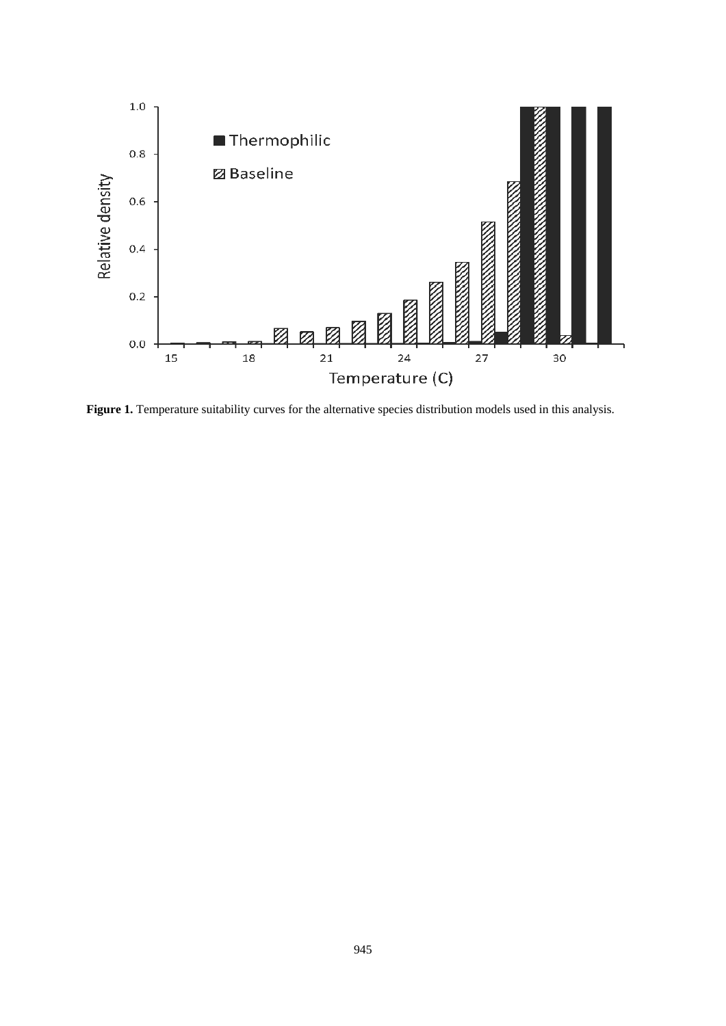

Figure 1. Temperature suitability curves for the alternative species distribution models used in this analysis.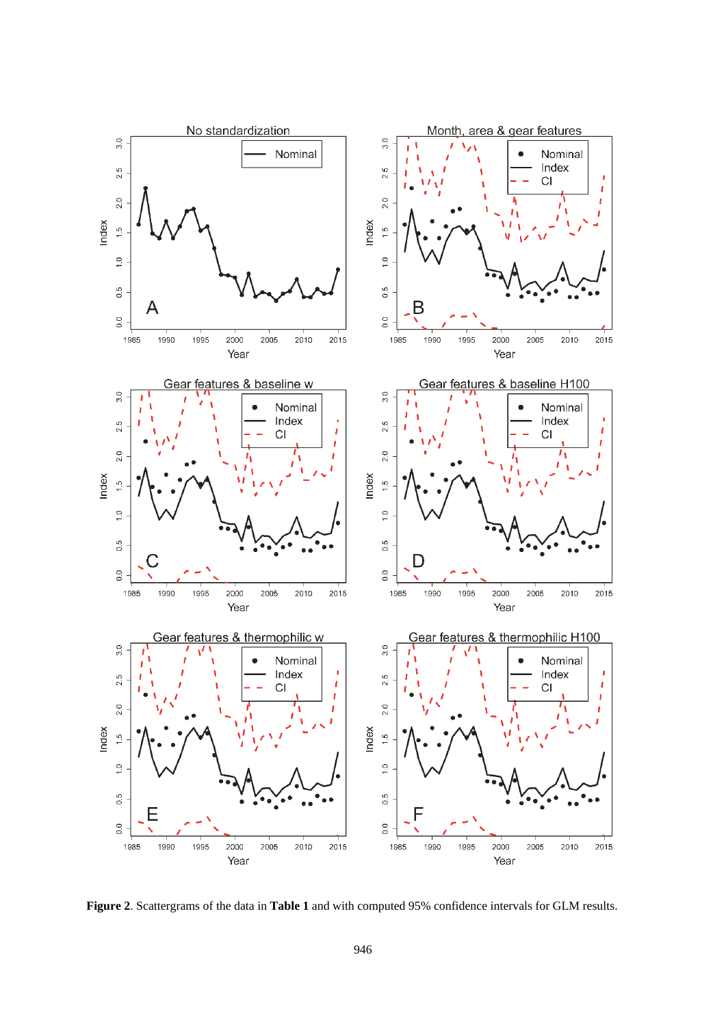

**Figure 2**. Scattergrams of the data in **Table 1** and with computed 95% confidence intervals for GLM results.